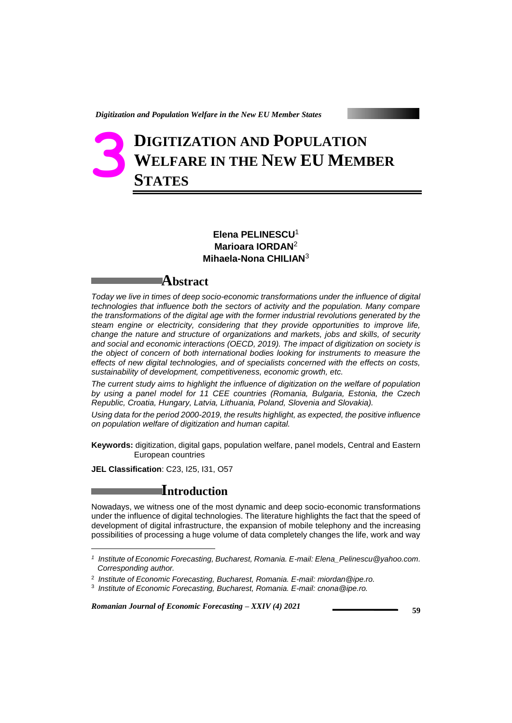# **DIGITIZATION AND POPULATION WELFARE IN THE NEW EU MEMBER STATES 3**

### **Elena PELINESCU**<sup>1</sup> **Marioara IORDAN**<sup>2</sup> **Mihaela-Nona CHILIAN**<sup>3</sup>

## **Abstract**

*Today we live in times of deep socio-economic transformations under the influence of digital technologies that influence both the sectors of activity and the population. Many compare the transformations of the digital age with the former industrial revolutions generated by the steam engine or electricity, considering that they provide opportunities to improve life, change the nature and structure of organizations and markets, jobs and skills, of security and social and economic interactions (OECD, 2019). The impact of digitization on society is the object of concern of both international bodies looking for instruments to measure the effects of new digital technologies, and of specialists concerned with the effects on costs, sustainability of development, competitiveness, economic growth, etc.* 

*The current study aims to highlight the influence of digitization on the welfare of population by using a panel model for 11 CEE countries (Romania, Bulgaria, Estonia, the Czech Republic, Croatia, Hungary, Latvia, Lithuania, Poland, Slovenia and Slovakia).* 

*Using data for the period 2000-2019, the results highlight, as expected, the positive influence on population welfare of digitization and human capital.* 

**Keywords:** digitization, digital gaps, population welfare, panel models, Central and Eastern European countries

**JEL Classification**: C23, I25, I31, O57

l

# **Introduction**

Nowadays, we witness one of the most dynamic and deep socio-economic transformations under the influence of digital technologies. The literature highlights the fact that the speed of development of digital infrastructure, the expansion of mobile telephony and the increasing possibilities of processing a huge volume of data completely changes the life, work and way

*<sup>1</sup> Institute of Economic Forecasting, Bucharest, Romania. E-mail[: Elena\\_Pelinescu@yahoo.com.](mailto:Elena_Pelinescu@yahoo.com) Corresponding author.*

<sup>2</sup> *Institute of Economic Forecasting, Bucharest, Romania. E-mail: miordan@ipe.ro.*

<sup>3</sup> *Institute of Economic Forecasting, Bucharest, Romania. E-mail: cnona@ipe.ro.*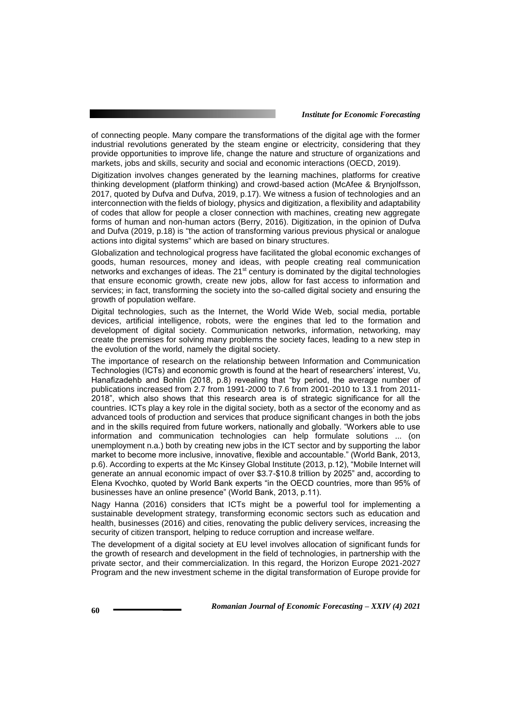of connecting people. Many compare the transformations of the digital age with the former industrial revolutions generated by the steam engine or electricity, considering that they provide opportunities to improve life, change the nature and structure of organizations and markets, jobs and skills, security and social and economic interactions (OECD, 2019).

Digitization involves changes generated by the learning machines, platforms for creative thinking development (platform thinking) and crowd-based action (McAfee & Brynjolfsson, 2017, quoted by Dufva and Dufva, 2019, p.17). We witness a fusion of technologies and an interconnection with the fields of biology, physics and digitization, a flexibility and adaptability of codes that allow for people a closer connection with machines, creating new aggregate forms of human and non-human actors (Berry, 2016). Digitization, in the opinion of Dufva and Dufva (2019, p.18) is "the action of transforming various previous physical or analogue actions into digital systems" which are based on binary structures.

Globalization and technological progress have facilitated the global economic exchanges of goods, human resources, money and ideas, with people creating real communication networks and exchanges of ideas. The  $21<sup>st</sup>$  century is dominated by the digital technologies that ensure economic growth, create new jobs, allow for fast access to information and services; in fact, transforming the society into the so-called digital society and ensuring the growth of population welfare.

Digital technologies, such as the Internet, the World Wide Web, social media, portable devices, artificial intelligence, robots, were the engines that led to the formation and development of digital society. Communication networks, information, networking, may create the premises for solving many problems the society faces, leading to a new step in the evolution of the world, namely the digital society.

The importance of research on the relationship between Information and Communication Technologies (ICTs) and economic growth is found at the heart of researchers' interest, Vu, Hanafizadehb and Bohlin (2018, p.8) revealing that "by period, the average number of publications increased from 2.7 from 1991-2000 to 7.6 from 2001-2010 to 13.1 from 2011- 2018", which also shows that this research area is of strategic significance for all the countries. ICTs play a key role in the digital society, both as a sector of the economy and as advanced tools of production and services that produce significant changes in both the jobs and in the skills required from future workers, nationally and globally. "Workers able to use information and communication technologies can help formulate solutions ... (on unemployment n.a.) both by creating new jobs in the ICT sector and by supporting the labor market to become more inclusive, innovative, flexible and accountable." (World Bank, 2013, p.6). According to experts at the Mc Kinsey Global Institute (2013, p.12), "Mobile Internet will generate an annual economic impact of over \$3.7-\$10.8 trillion by 2025" and, according to Elena Kvochko, quoted by World Bank experts "in the OECD countries, more than 95% of businesses have an online presence" (World Bank, 2013, p.11).

Nagy Hanna (2016) considers that ICTs might be a powerful tool for implementing a sustainable development strategy, transforming economic sectors such as education and health, businesses (2016) and cities, renovating the public delivery services, increasing the security of citizen transport, helping to reduce corruption and increase welfare.

The development of a digital society at EU level involves allocation of significant funds for the growth of research and development in the field of technologies, in partnership with the private sector, and their commercialization. In this regard, the Horizon Europe 2021-2027 Program and the new investment scheme in the digital transformation of Europe provide for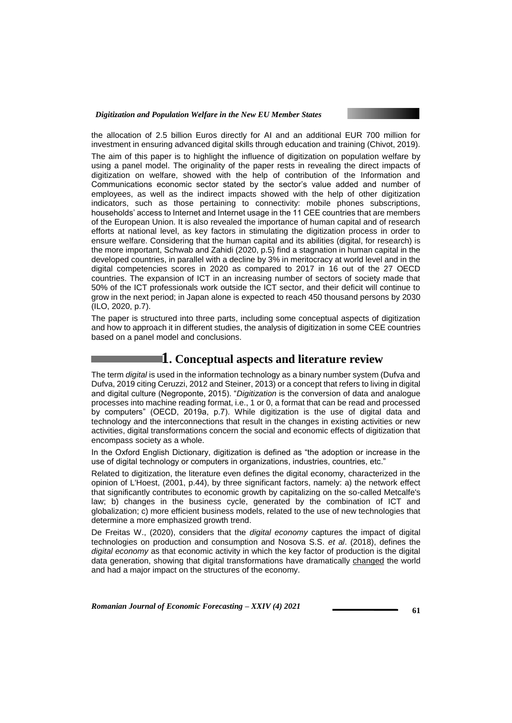

the allocation of 2.5 billion Euros directly for AI and an additional EUR 700 million for investment in ensuring advanced digital skills through education and training (Chivot, 2019). The aim of this paper is to highlight the influence of digitization on population welfare by using a panel model. The originality of the paper rests in revealing the direct impacts of digitization on welfare, showed with the help of contribution of the Information and Communications economic sector stated by the sector's value added and number of employees, as well as the indirect impacts showed with the help of other digitization indicators, such as those pertaining to connectivity: mobile phones subscriptions, households' access to Internet and Internet usage in the 11 CEE countries that are members of the European Union. It is also revealed the importance of human capital and of research efforts at national level, as key factors in stimulating the digitization process in order to ensure welfare. Considering that the human capital and its abilities (digital, for research) is the more important, Schwab and Zahidi (2020, p.5) find a stagnation in human capital in the developed countries, in parallel with a decline by 3% in meritocracy at world level and in the digital competencies scores in 2020 as compared to 2017 in 16 out of the 27 OECD countries. The expansion of ICT in an increasing number of sectors of society made that 50% of the ICT professionals work outside the ICT sector, and their deficit will continue to grow in the next period; in Japan alone is expected to reach 450 thousand persons by 2030 (ILO, 2020, p.7).

The paper is structured into three parts, including some conceptual aspects of digitization and how to approach it in different studies, the analysis of digitization in some CEE countries based on a panel model and conclusions.

## **1.** Conceptual aspects and literature review

The term *digital* is used in the information technology as a binary number system (Dufva and Dufva, 2019 citing Ceruzzi, 2012 and Steiner, 2013) or a concept that refers to living in digital and digital culture (Negroponte, 2015). "*Digitization* is the conversion of data and analogue processes into machine reading format, i.e., 1 or 0, a format that can be read and processed by computers" (OECD, 2019a, p.7). While digitization is the use of digital data and technology and the interconnections that result in the changes in existing activities or new activities, digital transformations concern the social and economic effects of digitization that encompass society as a whole.

In the Oxford English Dictionary, digitization is defined as "the adoption or increase in the use of digital technology or computers in organizations, industries, countries, etc."

Related to digitization, the literature even defines the digital economy, characterized in the opinion of L'Hoest, (2001, p.44), by three significant factors, namely: a) the network effect that significantly contributes to economic growth by capitalizing on the so-called Metcalfe's law; b) changes in the business cycle, generated by the combination of ICT and globalization; c) more efficient business models, related to the use of new technologies that determine a more emphasized growth trend.

De Freitas W., (2020), considers that the *digital economy* captures the impact of digital technologies on production and consumption and Nosova S.S. *et al*. (2018), defines the *digital economy* as that economic activity in which the key factor of production is the digital data generation, showing that digital transformations have dramatically changed the world and had a major impact on the structures of the economy.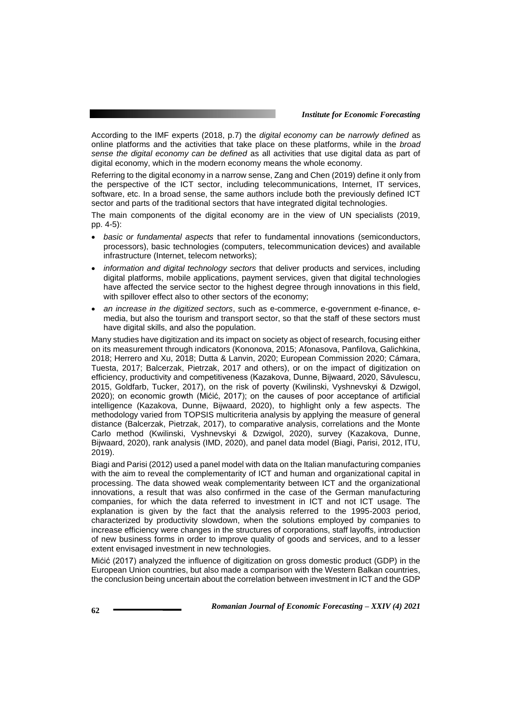According to the IMF experts (2018, p.7) the *digital economy can be narrowly defined* as online platforms and the activities that take place on these platforms, while in the *broad sense the digital economy can be defined* as all activities that use digital data as part of digital economy, which in the modern economy means the whole economy.

Referring to the digital economy in a narrow sense, Zang and Chen (2019) define it only from the perspective of the ICT sector, including telecommunications, Internet, IT services, software, etc. In a broad sense, the same authors include both the previously defined ICT sector and parts of the traditional sectors that have integrated digital technologies.

The main components of the digital economy are in the view of UN specialists (2019, pp. 4-5):

- *basic or fundamental aspects* that refer to fundamental innovations (semiconductors, processors), basic technologies (computers, telecommunication devices) and available infrastructure (Internet, telecom networks);
- *information and digital technology sectors* that deliver products and services, including digital platforms, mobile applications, payment services, given that digital technologies have affected the service sector to the highest degree through innovations in this field, with spillover effect also to other sectors of the economy;
- *an increase in the digitized sectors*, such as e-commerce, e-government e-finance, emedia, but also the tourism and transport sector, so that the staff of these sectors must have digital skills, and also the population.

Many studies have digitization and its impact on society as object of research, focusing either on its measurement through indicators (Kononova, 2015; Afonasova, Panfilova, Galichkina, 2018; Herrero and Xu, 2018; Dutta & Lanvin, 2020; European Commission 2020; Cámara, Tuesta, 2017; Balcerzak, Pietrzak, 2017 and others), or on the impact of digitization on efficiency, productivity and competitiveness (Kazakova, Dunne, Bijwaard, 2020, Săvulescu, 2015, Goldfarb, Tucker, 2017), on the risk of poverty (Kwilinski, Vyshnevskyi & Dzwigol, 2020); on economic growth (Mićić, 2017); on the causes of poor acceptance of artificial intelligence (Kazakova, Dunne, Bijwaard, 2020), to highlight only a few aspects. The methodology varied from TOPSIS multicriteria analysis by applying the measure of general distance (Balcerzak, Pietrzak, 2017), to comparative analysis, correlations and the Monte Carlo method (Kwilinski, Vyshnevskyi & Dzwigol, 2020), survey (Kazakova, Dunne, Bijwaard, 2020), rank analysis (IMD, 2020), and panel data model (Biagi, Parisi, 2012, ITU, 2019).

Biagi and Parisi (2012) used a panel model with data on the Italian manufacturing companies with the aim to reveal the complementarity of ICT and human and organizational capital in processing. The data showed weak complementarity between ICT and the organizational innovations, a result that was also confirmed in the case of the German manufacturing companies, for which the data referred to investment in ICT and not ICT usage. The explanation is given by the fact that the analysis referred to the 1995-2003 period, characterized by productivity slowdown, when the solutions employed by companies to increase efficiency were changes in the structures of corporations, staff layoffs, introduction of new business forms in order to improve quality of goods and services, and to a lesser extent envisaged investment in new technologies.

Mićić (2017) analyzed the influence of digitization on gross domestic product (GDP) in the European Union countries, but also made a comparison with the Western Balkan countries, the conclusion being uncertain about the correlation between investment in ICT and the GDP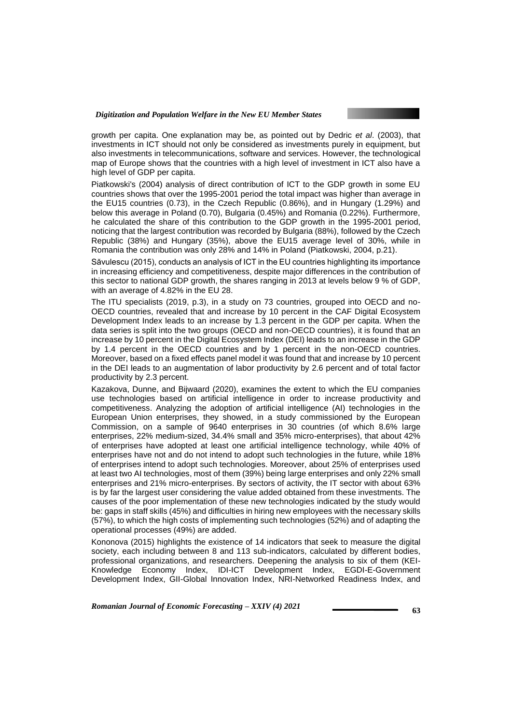growth per capita. One explanation may be, as pointed out by Dedric *et al*. (2003), that investments in ICT should not only be considered as investments purely in equipment, but also investments in telecommunications, software and services. However, the technological map of Europe shows that the countries with a high level of investment in ICT also have a high level of GDP per capita.

Piatkowski's (2004) analysis of direct contribution of ICT to the GDP growth in some EU countries shows that over the 1995-2001 period the total impact was higher than average in the EU15 countries (0.73), in the Czech Republic (0.86%), and in Hungary (1.29%) and below this average in Poland (0.70), Bulgaria (0.45%) and Romania (0.22%). Furthermore, he calculated the share of this contribution to the GDP growth in the 1995-2001 period, noticing that the largest contribution was recorded by Bulgaria (88%), followed by the Czech Republic (38%) and Hungary (35%), above the EU15 average level of 30%, while in Romania the contribution was only 28% and 14% in Poland (Piatkowski, 2004, p.21).

Săvulescu (2015), conducts an analysis of ICT in the EU countries highlighting its importance in increasing efficiency and competitiveness, despite major differences in the contribution of this sector to national GDP growth, the shares ranging in 2013 at levels below 9 % of GDP, with an average of 4.82% in the EU 28.

The ITU specialists (2019, p.3), in a study on 73 countries, grouped into OECD and no-OECD countries, revealed that and increase by 10 percent in the CAF Digital Ecosystem Development Index leads to an increase by 1.3 percent in the GDP per capita. When the data series is split into the two groups (OECD and non-OECD countries), it is found that an increase by 10 percent in the Digital Ecosystem Index (DEI) leads to an increase in the GDP by 1.4 percent in the OECD countries and by 1 percent in the non-OECD countries. Moreover, based on a fixed effects panel model it was found that and increase by 10 percent in the DEI leads to an augmentation of labor productivity by 2.6 percent and of total factor productivity by 2.3 percent.

Kazakova, Dunne, and Bijwaard (2020), examines the extent to which the EU companies use technologies based on artificial intelligence in order to increase productivity and competitiveness. Analyzing the adoption of artificial intelligence (AI) technologies in the European Union enterprises, they showed, in a study commissioned by the European Commission, on a sample of 9640 enterprises in 30 countries (of which 8.6% large enterprises, 22% medium-sized, 34.4% small and 35% micro-enterprises), that about 42% of enterprises have adopted at least one artificial intelligence technology, while 40% of enterprises have not and do not intend to adopt such technologies in the future, while 18% of enterprises intend to adopt such technologies. Moreover, about 25% of enterprises used at least two AI technologies, most of them (39%) being large enterprises and only 22% small enterprises and 21% micro-enterprises. By sectors of activity, the IT sector with about 63% is by far the largest user considering the value added obtained from these investments. The causes of the poor implementation of these new technologies indicated by the study would be: gaps in staff skills (45%) and difficulties in hiring new employees with the necessary skills (57%), to which the high costs of implementing such technologies (52%) and of adapting the operational processes (49%) are added.

Kononova (2015) highlights the existence of 14 indicators that seek to measure the digital society, each including between 8 and 113 sub-indicators, calculated by different bodies, professional organizations, and researchers. Deepening the analysis to six of them (KEI-Knowledge Economy Index, IDI-ICT Development Index, EGDI-E-Government Development Index, GII-Global Innovation Index, NRI-Networked Readiness Index, and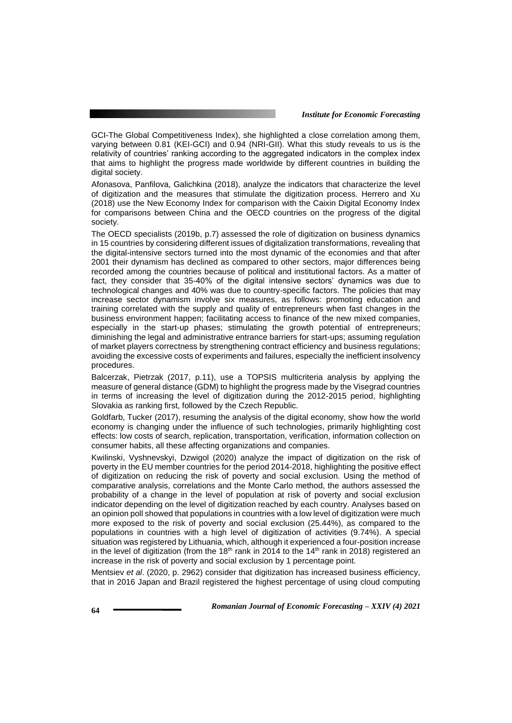GCI-The Global Competitiveness Index), she highlighted a close correlation among them, varying between 0.81 (KEI-GCI) and 0.94 (NRI-GII). What this study reveals to us is the relativity of countries' ranking according to the aggregated indicators in the complex index that aims to highlight the progress made worldwide by different countries in building the digital society.

Afonasova, Panfilova, Galichkina (2018), analyze the indicators that characterize the level of digitization and the measures that stimulate the digitization process. Herrero and Xu (2018) use the New Economy Index for comparison with the Caixin Digital Economy Index for comparisons between China and the OECD countries on the progress of the digital society.

The OECD specialists (2019b, p.7) assessed the role of digitization on business dynamics in 15 countries by considering different issues of digitalization transformations, revealing that the digital-intensive sectors turned into the most dynamic of the economies and that after 2001 their dynamism has declined as compared to other sectors, major differences being recorded among the countries because of political and institutional factors. As a matter of fact, they consider that 35-40% of the digital intensive sectors' dynamics was due to technological changes and 40% was due to country-specific factors. The policies that may increase sector dynamism involve six measures, as follows: promoting education and training correlated with the supply and quality of entrepreneurs when fast changes in the business environment happen; facilitating access to finance of the new mixed companies, especially in the start-up phases; stimulating the growth potential of entrepreneurs; diminishing the legal and administrative entrance barriers for start-ups; assuming regulation of market players correctness by strengthening contract efficiency and business regulations; avoiding the excessive costs of experiments and failures, especially the inefficient insolvency procedures.

Balcerzak, Pietrzak (2017, p.11), use a TOPSIS multicriteria analysis by applying the measure of general distance (GDM) to highlight the progress made by the Visegrad countries in terms of increasing the level of digitization during the 2012-2015 period, highlighting Slovakia as ranking first, followed by the Czech Republic.

Goldfarb, Tucker (2017), resuming the analysis of the digital economy, show how the world economy is changing under the influence of such technologies, primarily highlighting cost effects: low costs of search, replication, transportation, verification, information collection on consumer habits, all these affecting organizations and companies.

Kwilinski, Vyshnevskyi, Dzwigol (2020) analyze the impact of digitization on the risk of poverty in the EU member countries for the period 2014-2018, highlighting the positive effect of digitization on reducing the risk of poverty and social exclusion. Using the method of comparative analysis, correlations and the Monte Carlo method, the authors assessed the probability of a change in the level of population at risk of poverty and social exclusion indicator depending on the level of digitization reached by each country. Analyses based on an opinion poll showed that populations in countries with a low level of digitization were much more exposed to the risk of poverty and social exclusion (25.44%), as compared to the populations in countries with a high level of digitization of activities (9.74%). A special situation was registered by Lithuania, which, although it experienced a four-position increase in the level of digitization (from the 18<sup>th</sup> rank in 2014 to the 14<sup>th</sup> rank in 2018) registered an increase in the risk of poverty and social exclusion by 1 percentage point.

Mentsiev *et al*. (2020, p. 2962) consider that digitization has increased business efficiency, that in 2016 Japan and Brazil registered the highest percentage of using cloud computing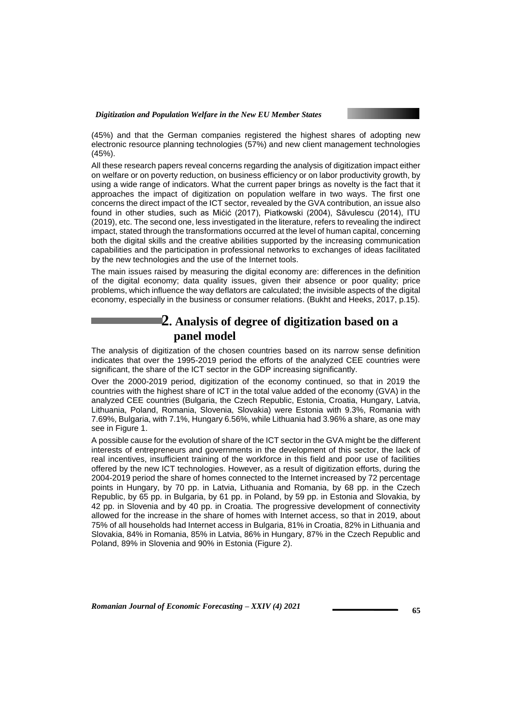

(45%) and that the German companies registered the highest shares of adopting new electronic resource planning technologies (57%) and new client management technologies (45%).

All these research papers reveal concerns regarding the analysis of digitization impact either on welfare or on poverty reduction, on business efficiency or on labor productivity growth, by using a wide range of indicators. What the current paper brings as novelty is the fact that it approaches the impact of digitization on population welfare in two ways. The first one concerns the direct impact of the ICT sector, revealed by the GVA contribution, an issue also found in other studies, such as Mićić (2017), Piatkowski (2004), Săvulescu (2014), ITU (2019), etc. The second one, less investigated in the literature, refers to revealing the indirect impact, stated through the transformations occurred at the level of human capital, concerning both the digital skills and the creative abilities supported by the increasing communication capabilities and the participation in professional networks to exchanges of ideas facilitated by the new technologies and the use of the Internet tools.

The main issues raised by measuring the digital economy are: differences in the definition of the digital economy; data quality issues, given their absence or poor quality; price problems, which influence the way deflators are calculated; the invisible aspects of the digital economy, especially in the business or consumer relations. (Bukht and Heeks, 2017, p.15).

# **2. Analysis of degree of digitization based on a panel model**

The analysis of digitization of the chosen countries based on its narrow sense definition indicates that over the 1995-2019 period the efforts of the analyzed CEE countries were significant, the share of the ICT sector in the GDP increasing significantly.

Over the 2000-2019 period, digitization of the economy continued, so that in 2019 the countries with the highest share of ICT in the total value added of the economy (GVA) in the analyzed CEE countries (Bulgaria, the Czech Republic, Estonia, Croatia, Hungary, Latvia, Lithuania, Poland, Romania, Slovenia, Slovakia) were Estonia with 9.3%, Romania with 7.69%, Bulgaria, with 7.1%, Hungary 6.56%, while Lithuania had 3.96% a share, as one may see in Figure 1.

A possible cause for the evolution of share of the ICT sector in the GVA might be the different interests of entrepreneurs and governments in the development of this sector, the lack of real incentives, insufficient training of the workforce in this field and poor use of facilities offered by the new ICT technologies. However, as a result of digitization efforts, during the 2004-2019 period the share of homes connected to the Internet increased by 72 percentage points in Hungary, by 70 pp. in Latvia, Lithuania and Romania, by 68 pp. in the Czech Republic, by 65 pp. in Bulgaria, by 61 pp. in Poland, by 59 pp. in Estonia and Slovakia, by 42 pp. in Slovenia and by 40 pp. in Croatia. The progressive development of connectivity allowed for the increase in the share of homes with Internet access, so that in 2019, about 75% of all households had Internet access in Bulgaria, 81% in Croatia, 82% in Lithuania and Slovakia, 84% in Romania, 85% in Latvia, 86% in Hungary, 87% in the Czech Republic and Poland, 89% in Slovenia and 90% in Estonia (Figure 2).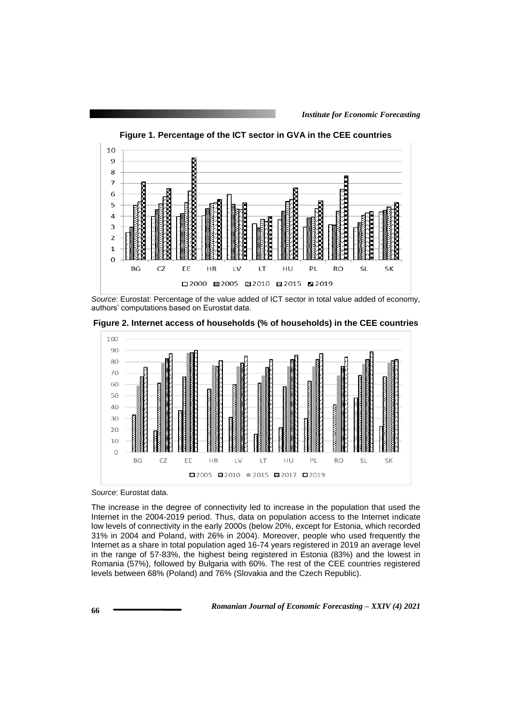

**Figure 1. Percentage of the ICT sector in GVA in the CEE countries**

*Source*: Eurostat: Percentage of the value added of ICT sector in total value added of economy, authors' computations based on Eurostat data.

**Figure 2. Internet access of households (% of households) in the CEE countries**



*Source*: Eurostat data.

The increase in the degree of connectivity led to increase in the population that used the Internet in the 2004-2019 period. Thus, data on population access to the Internet indicate low levels of connectivity in the early 2000s (below 20%, except for Estonia, which recorded 31% in 2004 and Poland, with 26% in 2004). Moreover, people who used frequently the Internet as a share in total population aged 16-74 years registered in 2019 an average level in the range of 57-83%, the highest being registered in Estonia (83%) and the lowest in Romania (57%), followed by Bulgaria with 60%. The rest of the CEE countries registered levels between 68% (Poland) and 76% (Slovakia and the Czech Republic).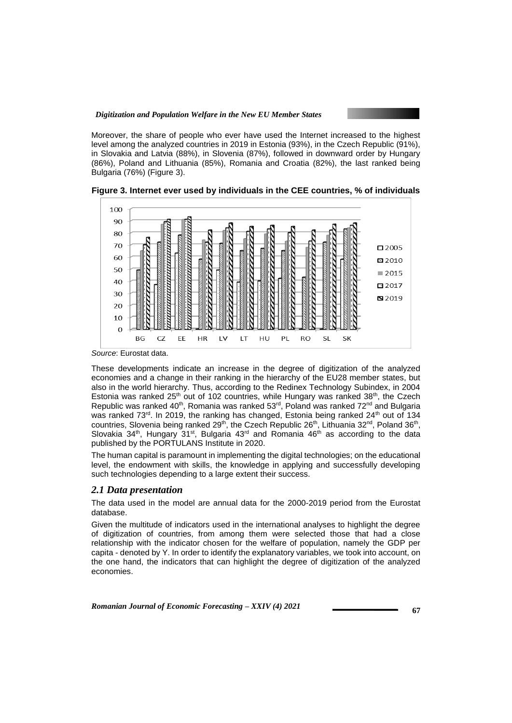Moreover, the share of people who ever have used the Internet increased to the highest level among the analyzed countries in 2019 in Estonia (93%), in the Czech Republic (91%), in Slovakia and Latvia (88%), in Slovenia (87%), followed in downward order by Hungary (86%), Poland and Lithuania (85%), Romania and Croatia (82%), the last ranked being Bulgaria (76%) (Figure 3).



**Figure 3. Internet ever used by individuals in the CEE countries, % of individuals** 

*Source*: Eurostat data.

These developments indicate an increase in the degree of digitization of the analyzed economies and a change in their ranking in the hierarchy of the EU28 member states, but also in the world hierarchy. Thus, according to the Redinex Technology Subindex, in 2004 Estonia was ranked  $25<sup>th</sup>$  out of 102 countries, while Hungary was ranked  $38<sup>th</sup>$ , the Czech Republic was ranked 40<sup>th</sup>, Romania was ranked 53<sup>rd</sup>, Poland was ranked 72<sup>nd</sup> and Bulgaria was ranked  $73<sup>rd</sup>$ . In 2019, the ranking has changed, Estonia being ranked  $24<sup>th</sup>$  out of 134 countries, Slovenia being ranked 29<sup>th</sup>, the Czech Republic 26<sup>th</sup>, Lithuania 32<sup>nd</sup>, Poland 36<sup>th</sup>, Slovakia 34<sup>th</sup>, Hungary 31<sup>st</sup>, Bulgaria 43<sup>rd</sup> and Romania 46<sup>th</sup> as according to the data published by the PORTULANS Institute in 2020.

The human capital is paramount in implementing the digital technologies; on the educational level, the endowment with skills, the knowledge in applying and successfully developing such technologies depending to a large extent their success.

### *2.1 Data presentation*

The data used in the model are annual data for the 2000-2019 period from the Eurostat database.

Given the multitude of indicators used in the international analyses to highlight the degree of digitization of countries, from among them were selected those that had a close relationship with the indicator chosen for the welfare of population, namely the GDP per capita - denoted by Y. In order to identify the explanatory variables, we took into account, on the one hand, the indicators that can highlight the degree of digitization of the analyzed economies.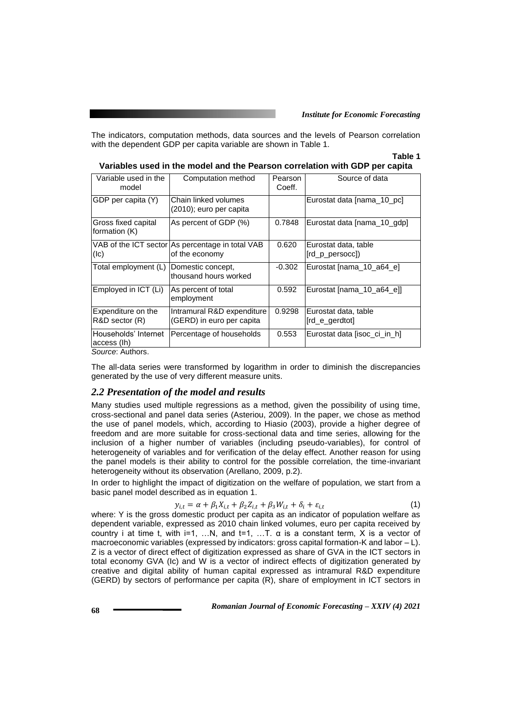The indicators, computation methods, data sources and the levels of Pearson correlation with the dependent GDP per capita variable are shown in Table 1.

### **Table 1**

| Variables used in the model and the Pearson correlation with GDP per capita |                                                                    |                   |                                         |  |  |  |
|-----------------------------------------------------------------------------|--------------------------------------------------------------------|-------------------|-----------------------------------------|--|--|--|
| Variable used in the<br>model                                               | Computation method                                                 | Pearson<br>Coeff. | Source of data                          |  |  |  |
| GDP per capita (Y)                                                          | Chain linked volumes<br>(2010); euro per capita                    |                   | Eurostat data [nama_10_pc]              |  |  |  |
| Gross fixed capital<br>formation (K)                                        | As percent of GDP (%)                                              | 0.7848            | Eurostat data [nama 10 gdp]             |  |  |  |
| (Ic)                                                                        | VAB of the ICT sector As percentage in total VAB<br>of the economy | 0.620             | Eurostat data, table<br>[rd p persocc]) |  |  |  |
| Total employment (L)                                                        | Domestic concept,<br>thousand hours worked                         | $-0.302$          | Eurostat [nama 10 a64 e]                |  |  |  |
| Employed in ICT (Li)                                                        | As percent of total                                                | 0.592             | Eurostat [nama_10_a64_e]]               |  |  |  |

generated by the use of very different measure units. *2.2 Presentation of the model and results*

The all-data series were transformed by logarithm in order to diminish the discrepancies

employment

Intramural R&D expenditure (GERD) in euro per capita

Expenditure on the R&D sector (R)

Households' Internet

access (Ih)

*Source*: Authors.

Many studies used multiple regressions as a method, given the possibility of using time, cross-sectional and panel data series (Asteriou, 2009). In the paper, we chose as method the use of panel models, which, according to Hiasio (2003), provide a higher degree of freedom and are more suitable for cross-sectional data and time series, allowing for the inclusion of a higher number of variables (including pseudo-variables), for control of heterogeneity of variables and for verification of the delay effect. Another reason for using the panel models is their ability to control for the possible correlation, the time-invariant heterogeneity without its observation (Arellano, 2009, p.2).

In order to highlight the impact of digitization on the welfare of population, we start from a basic panel model described as in equation 1.

$$
y_{i,t} = \alpha + \beta_1 X_{i,t} + \beta_2 Z_{i,t} + \beta_3 W_{i,t} + \delta_i + \varepsilon_{i,t}
$$
\n<sup>(1)</sup>

0.9298 Eurostat data, table [rd\_e\_gerdtot]

Percentage of households | 0.553 Eurostat data [isoc\_ci\_in\_h]

where: Y is the gross domestic product per capita as an indicator of population welfare as dependent variable, expressed as 2010 chain linked volumes, euro per capita received by country i at time t, with i=1, ...N, and t=1, ...T.  $\alpha$  is a constant term, X is a vector of macroeconomic variables (expressed by indicators: gross capital formation-K and labor – L). Z is a vector of direct effect of digitization expressed as share of GVA in the ICT sectors in total economy GVA (Ic) and W is a vector of indirect effects of digitization generated by creative and digital ability of human capital expressed as intramural R&D expenditure (GERD) by sectors of performance per capita (R), share of employment in ICT sectors in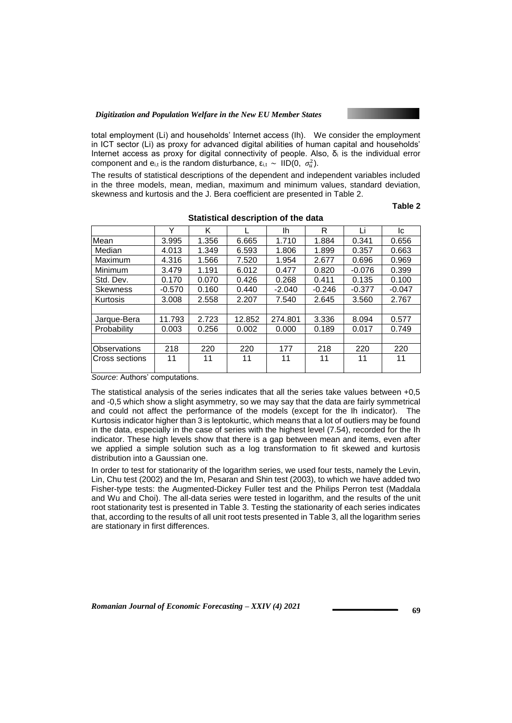total employment (Li) and households' Internet access (Ih). We consider the employment in ICT sector (Li) as proxy for advanced digital abilities of human capital and households' Internet access as proxy for digital connectivity of people. Also,  $\delta_i$  is the individual error component and e<sub>i,t</sub> is the random disturbance, ε<sub>i,t</sub>  $\sim$  IID(0,  $\sigma_u^2$ ).

The results of statistical descriptions of the dependent and independent variables included in the three models, mean, median, maximum and minimum values, standard deviation, skewness and kurtosis and the J. Bera coefficient are presented in Table 2.

**Table 2** 

|                       | Υ        | Κ     |        | lh       | R        | Li       | Ic       |
|-----------------------|----------|-------|--------|----------|----------|----------|----------|
| Mean                  | 3.995    | 1.356 | 6.665  | 1.710    | 1.884    | 0.341    | 0.656    |
| Median                | 4.013    | 1.349 | 6.593  | 1.806    | 1.899    | 0.357    | 0.663    |
| Maximum               | 4.316    | 1.566 | 7.520  | 1.954    | 2.677    | 0.696    | 0.969    |
| Minimum               | 3.479    | 1.191 | 6.012  | 0.477    | 0.820    | $-0.076$ | 0.399    |
| Std. Dev.             | 0.170    | 0.070 | 0.426  | 0.268    | 0.411    | 0.135    | 0.100    |
| <b>Skewness</b>       | $-0.570$ | 0.160 | 0.440  | $-2.040$ | $-0.246$ | $-0.377$ | $-0.047$ |
| Kurtosis              | 3.008    | 2.558 | 2.207  | 7.540    | 2.645    | 3.560    | 2.767    |
|                       |          |       |        |          |          |          |          |
| Jarque-Bera           | 11.793   | 2.723 | 12.852 | 274.801  | 3.336    | 8.094    | 0.577    |
| Probability           | 0.003    | 0.256 | 0.002  | 0.000    | 0.189    | 0.017    | 0.749    |
|                       |          |       |        |          |          |          |          |
| Observations          | 218      | 220   | 220    | 177      | 218      | 220      | 220      |
| <b>Cross sections</b> | 11       | 11    | 11     | 11       | 11       | 11       | 11       |

**Statistical description of the data**

*Source*: Authors' computations.

The statistical analysis of the series indicates that all the series take values between  $+0.5$ and -0,5 which show a slight asymmetry, so we may say that the data are fairly symmetrical and could not affect the performance of the models (except for the Ih indicator). The Kurtosis indicator higher than 3 is leptokurtic, which means that a lot of outliers may be found in the data, especially in the case of series with the highest level (7.54), recorded for the Ih indicator. These high levels show that there is a gap between mean and items, even after we applied a simple solution such as a log transformation to fit skewed and kurtosis distribution into a Gaussian one.

In order to test for stationarity of the logarithm series, we used four tests, namely the Levin, Lin, Chu test (2002) and the Im, Pesaran and Shin test (2003), to which we have added two Fisher-type tests: the Augmented-Dickey Fuller test and the Philips Perron test (Maddala and Wu and Choi). The all-data series were tested in logarithm, and the results of the unit root stationarity test is presented in Table 3. Testing the stationarity of each series indicates that, according to the results of all unit root tests presented in Table 3, all the logarithm series are stationary in first differences.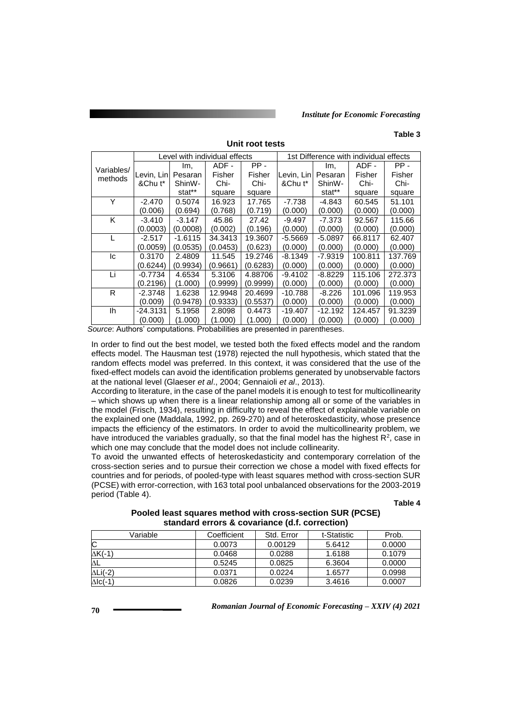#### **Table 3**

|                       | Level with individual effects |                     |          |          | 1st Difference with individual effects |           |         |         |
|-----------------------|-------------------------------|---------------------|----------|----------|----------------------------------------|-----------|---------|---------|
|                       |                               | lm,                 | ADF -    | PP-      |                                        | Im,       | ADF -   | PP-     |
| Variables/<br>methods | Levin, Linl                   | Pesaran             | Fisher   | Fisher   | Levin, Lin                             | Pesaran   | Fisher  | Fisher  |
|                       | &Chu t*                       | Shin <sub>W</sub> - | Chi-     | Chi-     | &Chu t*                                | ShinW-    | Chi-    | Chi-    |
|                       |                               | stat**              | square   | square   |                                        | stat**    | square  | square  |
| Υ                     | $-2.470$                      | 0.5074              | 16.923   | 17.765   | $-7.738$                               | -4.843    | 60.545  | 51.101  |
|                       | (0.006)                       | (0.694)             | (0.768)  | (0.719)  | (0.000)                                | (0.000)   | (0.000) | (0.000) |
| K                     | $-3.410$                      | $-3.147$            | 45.86    | 27.42    | $-9.497$                               | $-7.373$  | 92.567  | 115.66  |
|                       | (0.0003)                      | (0.0008)            | (0.002)  | (0.196)  | (0.000)                                | (0.000)   | (0.000) | (0.000) |
|                       | $-2.517$                      | $-1.6115$           | 34.3413  | 19.3607  | $-5.5669$                              | $-5.0897$ | 66.8117 | 62.407  |
|                       | (0.0059)                      | (0.0535)            | (0.0453) | (0.623)  | (0.000)                                | (0.000)   | (0.000) | (0.000) |
| lc.                   | 0.3170                        | 2.4809              | 11.545   | 19.2746  | $-8.1349$                              | $-7.9319$ | 100.811 | 137.769 |
|                       | (0.6244)                      | (0.9934)            | (0.9661) | (0.6283) | (0.000)                                | (0.000)   | (0.000) | (0.000) |
| Li                    | $-0.7734$                     | 4.6534              | 5.3106   | 4.88706  | $-9.4102$                              | $-8.8229$ | 115.106 | 272.373 |
|                       | (0.2196)                      | (1.000)             | (0.9999) | (0.9999) | (0.000)                                | (0.000)   | (0.000) | (0.000) |
| R                     | -2.3748                       | 1.6238              | 12.9948  | 20.4699  | $-10.788$                              | $-8.226$  | 101.096 | 119.953 |
|                       | (0.009)                       | (0.9478)            | (0.9333) | (0.5537) | (0.000)                                | (0.000)   | (0.000) | (0.000) |
| lh.                   | -24.3131                      | 5.1958              | 2.8098   | 0.4473   | $-19.407$                              | $-12.192$ | 124.457 | 91.3239 |
|                       | (0.000)                       | (1.000)             | (1.000)  | (1.000)  | (0.000)                                | (0.000)   | (0.000) | (0.000) |

**Unit root tests**

*Source*: Authors' computations. Probabilities are presented in parentheses.

In order to find out the best model, we tested both the fixed effects model and the random effects model. The Hausman test (1978) rejected the null hypothesis, which stated that the random effects model was preferred. In this context, it was considered that the use of the fixed-effect models can avoid the identification problems generated by unobservable factors at the national level (Glaeser *et al*., 2004; Gennaioli *et al*., 2013).

According to literature, in the case of the panel models it is enough to test for multicollinearity – which shows up when there is a linear relationship among all or some of the variables in the model (Frisch, 1934), resulting in difficulty to reveal the effect of explainable variable on the explained one (Maddala, 1992, pp. 269-270) and of heteroskedasticity, whose presence impacts the efficiency of the estimators. In order to avoid the multicollinearity problem, we have introduced the variables gradually, so that the final model has the highest  $R^2$ , case in which one may conclude that the model does not include collinearity.

To avoid the unwanted effects of heteroskedasticity and contemporary correlation of the cross-section series and to pursue their correction we chose a model with fixed effects for countries and for periods, of pooled-type with least squares method with cross-section SUR (PCSE) with error-correction, with 163 total pool unbalanced observations for the 2003-2019 period (Table 4).

**Table 4** 

**Pooled least squares method with cross-section SUR (PCSE) standard errors & covariance (d.f. correction)**

| Variable | Coefficient | Std. Error | t-Statistic | Prob.  |
|----------|-------------|------------|-------------|--------|
| ັ        | 0.0073      | 0.00129    | 5.6412      | 0.0000 |
| ∆K(-1)   | 0.0468      | 0.0288     | 1.6188      | 0.1079 |
| ΔL       | 0.5245      | 0.0825     | 6.3604      | 0.0000 |
| ∆Li(-2)  | 0.0371      | 0.0224     | 1.6577      | 0.0998 |
| ∆lc(-1   | 0.0826      | 0.0239     | 3.4616      | 0.0007 |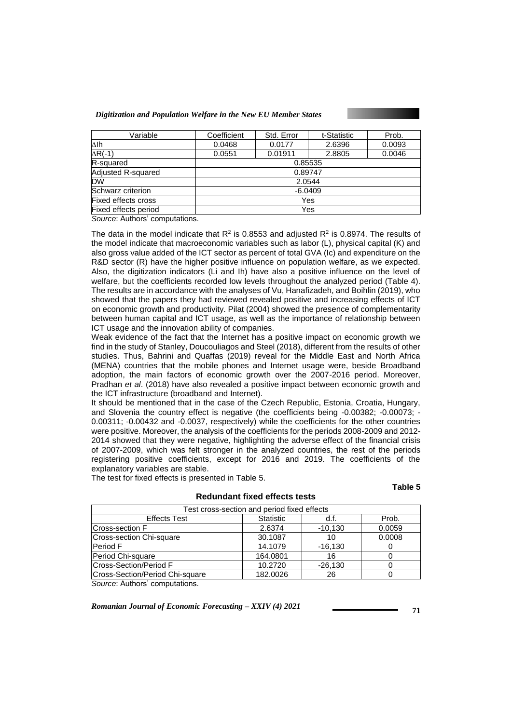| Variable                   | Coefficient | Std. Error | t-Statistic | Prob.  |  |  |
|----------------------------|-------------|------------|-------------|--------|--|--|
| Δlh                        | 0.0468      | 0.0177     | 2.6396      | 0.0093 |  |  |
| $\Delta R(-1)$             | 0.0551      | 0.01911    | 2.8805      | 0.0046 |  |  |
| R-squared                  | 0.85535     |            |             |        |  |  |
| <b>Adjusted R-squared</b>  | 0.89747     |            |             |        |  |  |
| <b>DW</b>                  | 2.0544      |            |             |        |  |  |
| Schwarz criterion          | $-6.0409$   |            |             |        |  |  |
| <b>Fixed effects cross</b> | Yes         |            |             |        |  |  |
| Fixed effects period       | Yes         |            |             |        |  |  |

*Source*: Authors' computations.

The data in the model indicate that R<sup>2</sup> is 0.8553 and adjusted R<sup>2</sup> is 0.8974. The results of the model indicate that macroeconomic variables such as labor (L), physical capital (K) and also gross value added of the ICT sector as percent of total GVA (Ic) and expenditure on the R&D sector (R) have the higher positive influence on population welfare, as we expected. Also, the digitization indicators (Li and Ih) have also a positive influence on the level of welfare, but the coefficients recorded low levels throughout the analyzed period (Table 4). The results are in accordance with the analyses of Vu, Hanafizadeh, and Boihlin (2019), who showed that the papers they had reviewed revealed positive and increasing effects of ICT on economic growth and productivity. Pilat (2004) showed the presence of complementarity between human capital and ICT usage, as well as the importance of relationship between ICT usage and the innovation ability of companies.

Weak evidence of the fact that the Internet has a positive impact on economic growth we find in the study of Stanley, Doucouliagos and Steel (2018), different from the results of other studies. Thus, Bahrini and Quaffas (2019) reveal for the Middle East and North Africa (MENA) countries that the mobile phones and Internet usage were, beside Broadband adoption, the main factors of economic growth over the 2007-2016 period. Moreover, Pradhan *et al*. (2018) have also revealed a positive impact between economic growth and the ICT infrastructure (broadband and Internet).

It should be mentioned that in the case of the Czech Republic, Estonia, Croatia, Hungary, and Slovenia the country effect is negative (the coefficients being -0.00382; -0.00073; - 0.00311; -0.00432 and -0.0037, respectively) while the coefficients for the other countries were positive. Moreover, the analysis of the coefficients for the periods 2008-2009 and 2012- 2014 showed that they were negative, highlighting the adverse effect of the financial crisis of 2007-2009, which was felt stronger in the analyzed countries, the rest of the periods registering positive coefficients, except for 2016 and 2019. The coefficients of the explanatory variables are stable.

The test for fixed effects is presented in Table 5.

**Table 5** 

| Test cross-section and period fixed effects |                  |           |        |  |  |  |
|---------------------------------------------|------------------|-----------|--------|--|--|--|
| <b>Effects Test</b>                         | <b>Statistic</b> | d.f.      | Prob.  |  |  |  |
| Cross-section F                             | 2.6374           | $-10,130$ | 0.0059 |  |  |  |
| Cross-section Chi-square                    | 30.1087          | 10        | 0.0008 |  |  |  |
| Period F                                    | 14.1079          | $-16,130$ |        |  |  |  |
| Period Chi-square                           | 164.0801         | 16        |        |  |  |  |
| <b>Cross-Section/Period F</b>               | 10.2720          | $-26.130$ |        |  |  |  |
| Cross-Section/Period Chi-square             | 182.0026         | 26        |        |  |  |  |
| Source: Authors' computations.              |                  |           |        |  |  |  |

### **Redundant fixed effects tests**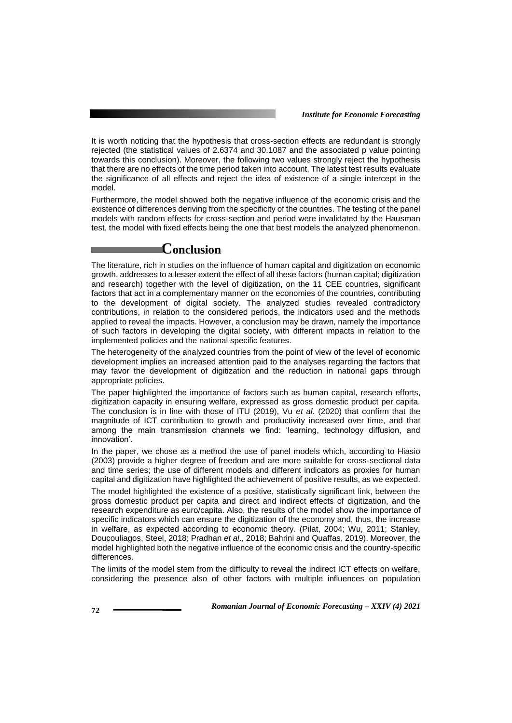It is worth noticing that the hypothesis that cross-section effects are redundant is strongly rejected (the statistical values of 2.6374 and 30.1087 and the associated p value pointing towards this conclusion). Moreover, the following two values strongly reject the hypothesis that there are no effects of the time period taken into account. The latest test results evaluate the significance of all effects and reject the idea of existence of a single intercept in the model.

Furthermore, the model showed both the negative influence of the economic crisis and the existence of differences deriving from the specificity of the countries. The testing of the panel models with random effects for cross-section and period were invalidated by the Hausman test, the model with fixed effects being the one that best models the analyzed phenomenon.

### **Conclusion**

The literature, rich in studies on the influence of human capital and digitization on economic growth, addresses to a lesser extent the effect of all these factors (human capital; digitization and research) together with the level of digitization, on the 11 CEE countries, significant factors that act in a complementary manner on the economies of the countries, contributing to the development of digital society. The analyzed studies revealed contradictory contributions, in relation to the considered periods, the indicators used and the methods applied to reveal the impacts. However, a conclusion may be drawn, namely the importance of such factors in developing the digital society, with different impacts in relation to the implemented policies and the national specific features.

The heterogeneity of the analyzed countries from the point of view of the level of economic development implies an increased attention paid to the analyses regarding the factors that may favor the development of digitization and the reduction in national gaps through appropriate policies.

The paper highlighted the importance of factors such as human capital, research efforts, digitization capacity in ensuring welfare, expressed as gross domestic product per capita. The conclusion is in line with those of ITU (2019), Vu *et al*. (2020) that confirm that the magnitude of ICT contribution to growth and productivity increased over time, and that among the main transmission channels we find: 'learning, technology diffusion, and innovation'.

In the paper, we chose as a method the use of panel models which, according to Hiasio (2003) provide a higher degree of freedom and are more suitable for cross-sectional data and time series; the use of different models and different indicators as proxies for human capital and digitization have highlighted the achievement of positive results, as we expected.

The model highlighted the existence of a positive, statistically significant link, between the gross domestic product per capita and direct and indirect effects of digitization, and the research expenditure as euro/capita. Also, the results of the model show the importance of specific indicators which can ensure the digitization of the economy and, thus, the increase in welfare, as expected according to economic theory. (Pilat, 2004; Wu, 2011; Stanley, Doucouliagos, Steel, 2018; Pradhan *et al*., 2018; Bahrini and Quaffas, 2019). Moreover, the model highlighted both the negative influence of the economic crisis and the country-specific differences.

The limits of the model stem from the difficulty to reveal the indirect ICT effects on welfare, considering the presence also of other factors with multiple influences on population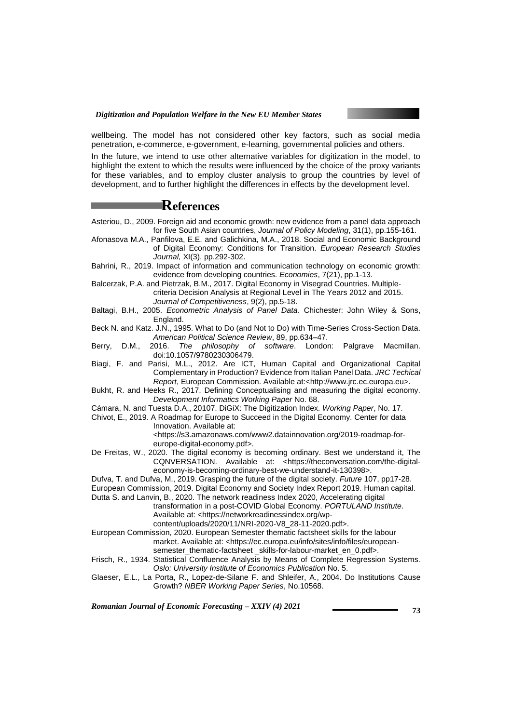

wellbeing. The model has not considered other key factors, such as social media penetration, e-commerce, e-government, e-learning, governmental policies and others.

In the future, we intend to use other alternative variables for digitization in the model, to highlight the extent to which the results were influenced by the choice of the proxy variants for these variables, and to employ cluster analysis to group the countries by level of development, and to further highlight the differences in effects by the development level.

# **References**

- Asteriou, D., 2009. Foreign aid and economic growth: new evidence from a panel data approach for five South Asian countries, *Journal of Policy Modeling*, 31(1), pp.155-161.
- Afonasova M.A., Panfilova, E.E. and Galichkina, M.A., 2018. Social and Economic Background of Digital Economy: Conditions for Transition. *European Research Studies Journal,* XI(3), pp.292-302.
- Bahrini, R., 2019. Impact of information and communication technology on economic growth: evidence from developing countries. *Economies*, 7(21), pp.1-13.
- Balcerzak, P.A. and Pietrzak, B.M., 2017. Digital Economy in Visegrad Countries. Multiplecriteria Decision Analysis at Regional Level in The Years 2012 and 2015.
	- *Journal of Competitiveness*, 9(2), pp.5-18.
- Baltagi, B.H., 2005. *Econometric Analysis of Panel Data*. Chichester: John Wiley & Sons, England.
- Beck N. and Katz. J.N., 1995. What to Do (and Not to Do) with Time-Series Cross-Section Data. *American Political Science Review*, 89, pp.634–47.
- Berry, D.M., 2016. *The philosophy of software*. London: Palgrave Macmillan. doi:10.1057/9780230306479.
- Biagi, F. and Parisi, M.L., 2012. Are ICT, Human Capital and Organizational Capital Complementary in Production? Evidence from Italian Panel Data. *JRC Techical Report*, European Commission. Available at:<http://www.jrc.ec.europa.eu>.
- Bukht, R. and Heeks R., 2017. Defining Conceptualising and measuring the digital economy. *Development Informatics Working Paper* No. 68.
- Cámara, N. and Tuesta D.A., 20107. DiGiX: The Digitization Index. *Working Paper*, No. 17.
- Chivot, E., 2019. A Roadmap for Europe to Succeed in the Digital Economy. Center for data Innovation. Available at:

<https://s3.amazonaws.com/www2.datainnovation.org/2019-roadmap-foreurope-digital-economy.pdf>.

- De Freitas, W., 2020. The digital economy is becoming ordinary. Best we understand it, The CQNVERSATION. Available at: <https://theconversation.com/the-digitaleconomy-is-becoming-ordinary-best-we-understand-it-130398>.
- Dufva, T. and Dufva, M., 2019. Grasping the future of the digital society. *Future* 107, pp17-28.
- European Commission, 2019. Digital Economy and Society Index Report 2019. Human capital.
- Dutta S. and Lanvin, B., 2020. The network readiness Index 2020, Accelerating digital
	- transformation in a post-COVID Global Economy. *PORTULAND Institute*. Available at: [<https://networkreadinessindex.org/wp](https://networkreadinessindex.org/wp-content/uploads/2020/11/NRI-2020-V8_28-11-2020.pdf)
		- [content/uploads/2020/11/NRI-2020-V8\\_28-11-2020.pdf>](https://networkreadinessindex.org/wp-content/uploads/2020/11/NRI-2020-V8_28-11-2020.pdf).
- European Commission, 2020. European Semester thematic factsheet skills for the labour market. Available at: <https://ec.europa.eu/info/sites/info/files/european
	- semester\_thematic-factsheet \_skills-for-labour-market\_en\_0.pdf>.
- Frisch, R., 1934. Statistical Confluence Analysis by Means of Complete Regression Systems. *Oslo: University Institute of Economics Publication* No. 5.
- Glaeser, E.L., La Porta, R., Lopez-de-Silane F. and Shleifer, A., 2004. Do Institutions Cause Growth? *NBER Working Paper Series*, No.10568.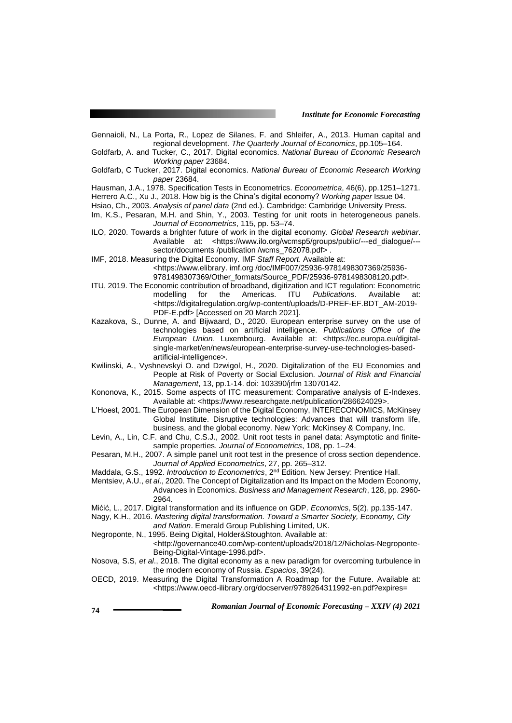- Gennaioli, N., La Porta, R., Lopez de Silanes, F. and Shleifer, A., 2013. Human capital and regional development. *The Quarterly Journal of Economics*, pp.105–164.
- Goldfarb, A. and Tucker, C., 2017. Digital economics. *National Bureau of Economic Research Working paper* 23684.
- Goldfarb, C Tucker, 2017. Digital economics. *National Bureau of Economic Research Working paper* 23684.

Hausman, J.A., 1978. Specification Tests in Econometrics. *Econometrica*, 46(6), pp.1251–1271. Herrero A.C., Xu J., 2018. How big is the China's digital economy? *Working paper* Issue 04.

Hsiao, Ch., 2003. *Analysis of panel data* (2nd ed.). Cambridge: Cambridge University Press.

- Im, K.S., Pesaran, M.H. and Shin, Y., 2003. Testing for unit roots in heterogeneous panels. *Journal of Econometrics*, 115, pp. 53–74.
- ILO, 2020. Towards a brighter future of work in the digital economy. *Global Research webinar*. Available at: <https://www.ilo.org/wcmsp5/groups/public/---ed\_dialogue/-- sector/documents /publication /wcms\_762078.pdf>.
- IMF, 2018. Measuring the Digital Economy. IMF *Staff Report*. Available at:

<https://www.elibrary. imf.org /doc/IMF007/25936-9781498307369/25936-

9781498307369/Other\_formats/Source\_PDF/25936-9781498308120.pdf>.

- ITU, 2019. The Economic contribution of broadband, digitization and ICT regulation: Econometric<br>modelling for the Americas. ITU Publications. Available at: Americas. <https://digitalregulation.org/wp-content/uploads/D-PREF-EF.BDT\_AM-2019- PDF-E.pdf> [Accessed on 20 March 2021].
- Kazakova, S., Dunne, A. and Bijwaard, D., 2020. European enterprise survey on the use of technologies based on artificial intelligence. *Publications Office of the European Union*, Luxembourg. Available at: <https://ec.europa.eu/digitalsingle-market/en/news/european-enterprise-survey-use-technologies-basedartificial-intelligence>.
- Kwilinski, A., Vyshnevskyi O. and Dzwigol, H., 2020. Digitalization of the EU Economies and People at Risk of Poverty or Social Exclusion. *Journal of Risk and Financial Management*, 13, pp.1-14. doi: 103390/jrfm 13070142.
- Kononova, K., 2015. Some aspects of ITC measurement: Comparative analysis of E-Indexes. Available at: <https://www.researchgate.net/publication/286624029>.
- L'Hoest, 2001. The European Dimension of the Digital Economy, INTERECONOMICS, McKinsey Global Institute. Disruptive technologies: Advances that will transform life, business, and the global economy. New York: McKinsey & Company, Inc.
- Levin, A., Lin, C.F. and Chu, C.S.J., 2002. Unit root tests in panel data: Asymptotic and finitesample properties. *Journal of Econometrics*, 108, pp. 1–24.
- Pesaran, M.H., 2007. A simple panel unit root test in the presence of cross section dependence. *Journal of Applied Econometrics*, 27, pp. 265–312.
- Maddala, G.S., 1992. *Introduction to Econometrics*, 2nd Edition. New Jersey: Prentice Hall.
- Mentsiev, A.U., *et al*., 2020. The Concept of Digitalization and Its Impact on the Modern Economy, Advances in Economics. *Business and Management Research*, 128, pp. 2960- 2964.
- Mićić, L., 2017. Digital transformation and its influence on GDP. *Economics*, 5(2), pp.135-147.
- Nagy, K.H., 2016. *Mastering digital transformation. Toward a Smarter Society, Economy, City and Nation*. Emerald Group Publishing Limited, UK.
- Negroponte, N., 1995. Being Digital, Holder&Stoughton. Available at:
- <http://governance40.com/wp-content/uploads/2018/12/Nicholas-Negroponte-Being-Digital-Vintage-1996.pdf>.
- Nosova, S.S, *et al*., 2018. The digital economy as a new paradigm for overcoming turbulence in the modern economy of Russia. *Espacios*, 39(24).
- OECD, 2019. Measuring the Digital Transformation A Roadmap for the Future. Available at: <https://www.oecd-ilibrary.org/docserver/9789264311992-en.pdf?expires=